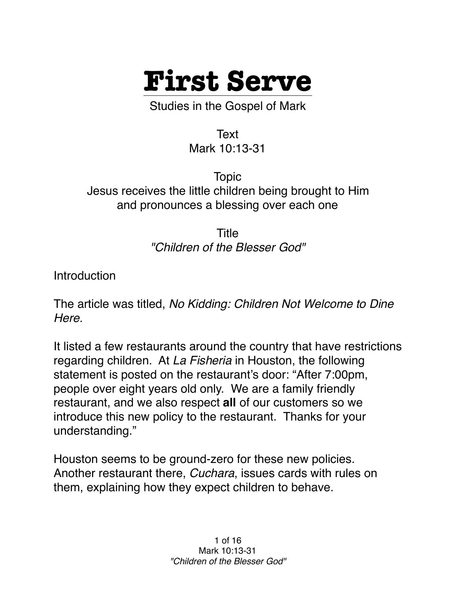

Studies in the Gospel of Mark

Text Mark 10:13-31

Topic Jesus receives the little children being brought to Him and pronounces a blessing over each one

> Title *"Children of the Blesser God"*

**Introduction** 

The article was titled, *No Kidding: Children Not Welcome to Dine Here.*

It listed a few restaurants around the country that have restrictions regarding children. At *La Fisheria* in Houston, the following statement is posted on the restaurant's door: "After 7:00pm, people over eight years old only. We are a family friendly restaurant, and we also respect **all** of our customers so we introduce this new policy to the restaurant. Thanks for your understanding."

Houston seems to be ground-zero for these new policies. Another restaurant there, *Cuchara*, issues cards with rules on them, explaining how they expect children to behave.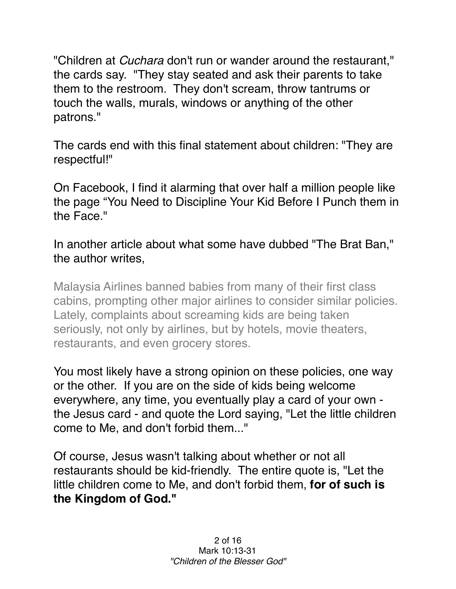"Children at *Cuchara* don't run or wander around the restaurant," the cards say. "They stay seated and ask their parents to take them to the restroom. They don't scream, throw tantrums or touch the walls, murals, windows or anything of the other patrons."

The cards end with this final statement about children: "They are respectful!"

On Facebook, I find it alarming that over half a million people like the page "You Need to Discipline Your Kid Before I Punch them in the Face."

In another article about what some have dubbed "The Brat Ban," the author writes,

Malaysia Airlines banned babies from many of their first class cabins, prompting other major airlines to consider similar policies. Lately, complaints about screaming kids are being taken seriously, not only by airlines, but by hotels, movie theaters, restaurants, and even grocery stores.

You most likely have a strong opinion on these policies, one way or the other. If you are on the side of kids being welcome everywhere, any time, you eventually play a card of your own the Jesus card - and quote the Lord saying, "Let the little children come to Me, and don't forbid them..."

Of course, Jesus wasn't talking about whether or not all restaurants should be kid-friendly. The entire quote is, "Let the little children come to Me, and don't forbid them, **for of such is the Kingdom of God."**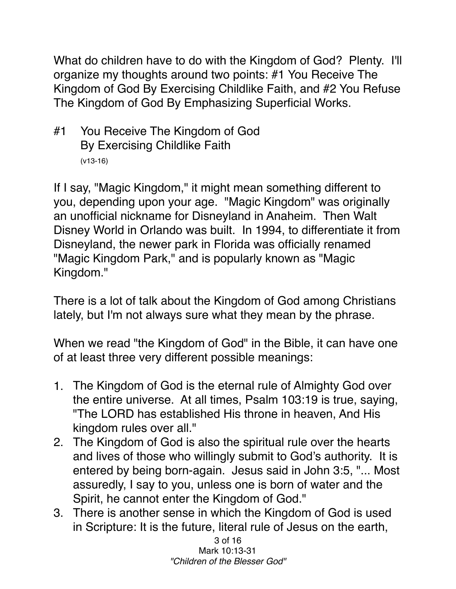What do children have to do with the Kingdom of God? Plenty. I'll organize my thoughts around two points: #1 You Receive The Kingdom of God By Exercising Childlike Faith, and #2 You Refuse The Kingdom of God By Emphasizing Superficial Works.

#1 You Receive The Kingdom of God By Exercising Childlike Faith (v13-16)

If I say, "Magic Kingdom," it might mean something different to you, depending upon your age. "Magic Kingdom" was originally an unofficial nickname for Disneyland in Anaheim. Then Walt Disney World in Orlando was built. In 1994, to differentiate it from Disneyland, the newer park in Florida was officially renamed "Magic Kingdom Park," and is popularly known as "Magic Kingdom."

There is a lot of talk about the Kingdom of God among Christians lately, but I'm not always sure what they mean by the phrase.

When we read "the Kingdom of God" in the Bible, it can have one of at least three very different possible meanings:

- 1. The Kingdom of God is the eternal rule of Almighty God over the entire universe. At all times, Psalm 103:19 is true, saying, "The LORD has established His throne in heaven, And His kingdom rules over all."
- 2. The Kingdom of God is also the spiritual rule over the hearts and lives of those who willingly submit to God's authority. It is entered by being born-again. Jesus said in John 3:5, "... Most assuredly, I say to you, unless one is born of water and the Spirit, he cannot enter the Kingdom of God."
- 3. There is another sense in which the Kingdom of God is used in Scripture: It is the future, literal rule of Jesus on the earth,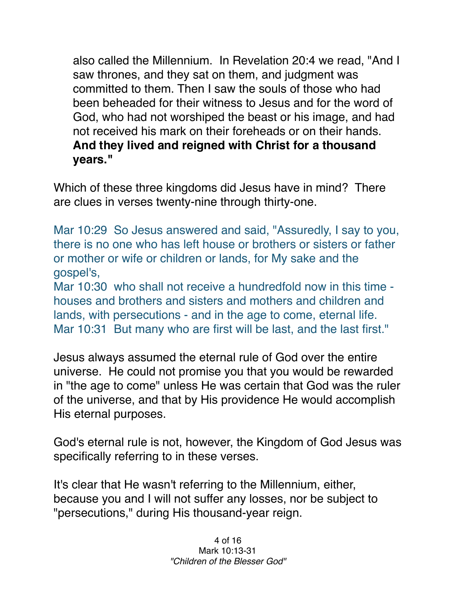also called the Millennium. In Revelation 20:4 we read, "And I saw thrones, and they sat on them, and judgment was committed to them. Then I saw the souls of those who had been beheaded for their witness to Jesus and for the word of God, who had not worshiped the beast or his image, and had not received his mark on their foreheads or on their hands. **And they lived and reigned with Christ for a thousand years."**

Which of these three kingdoms did Jesus have in mind? There are clues in verses twenty-nine through thirty-one.

Mar 10:29 So Jesus answered and said, "Assuredly, I say to you, there is no one who has left house or brothers or sisters or father or mother or wife or children or lands, for My sake and the gospel's,

Mar 10:30 who shall not receive a hundredfold now in this time houses and brothers and sisters and mothers and children and lands, with persecutions - and in the age to come, eternal life. Mar 10:31 But many who are first will be last, and the last first."

Jesus always assumed the eternal rule of God over the entire universe. He could not promise you that you would be rewarded in "the age to come" unless He was certain that God was the ruler of the universe, and that by His providence He would accomplish His eternal purposes.

God's eternal rule is not, however, the Kingdom of God Jesus was specifically referring to in these verses.

It's clear that He wasn't referring to the Millennium, either, because you and I will not suffer any losses, nor be subject to "persecutions," during His thousand-year reign.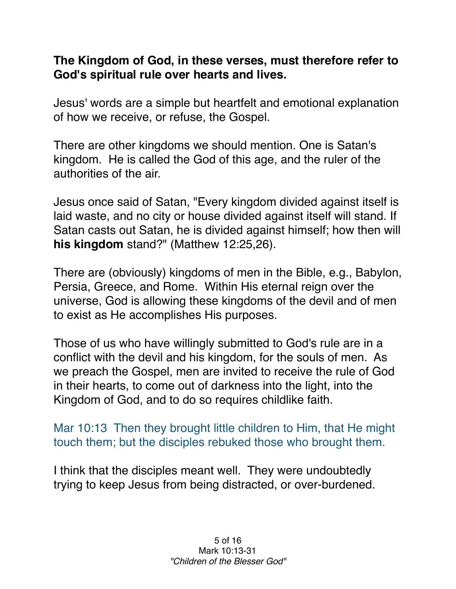## **The Kingdom of God, in these verses, must therefore refer to God's spiritual rule over hearts and lives.**

Jesus' words are a simple but heartfelt and emotional explanation of how we receive, or refuse, the Gospel.

There are other kingdoms we should mention. One is Satan's kingdom. He is called the God of this age, and the ruler of the authorities of the air.

Jesus once said of Satan, "Every kingdom divided against itself is laid waste, and no city or house divided against itself will stand. If Satan casts out Satan, he is divided against himself; how then will **his kingdom** stand?" (Matthew 12:25,26).

There are (obviously) kingdoms of men in the Bible, e.g., Babylon, Persia, Greece, and Rome. Within His eternal reign over the universe, God is allowing these kingdoms of the devil and of men to exist as He accomplishes His purposes.

Those of us who have willingly submitted to God's rule are in a conflict with the devil and his kingdom, for the souls of men. As we preach the Gospel, men are invited to receive the rule of God in their hearts, to come out of darkness into the light, into the Kingdom of God, and to do so requires childlike faith.

Mar 10:13 Then they brought little children to Him, that He might touch them; but the disciples rebuked those who brought them.

I think that the disciples meant well. They were undoubtedly trying to keep Jesus from being distracted, or over-burdened.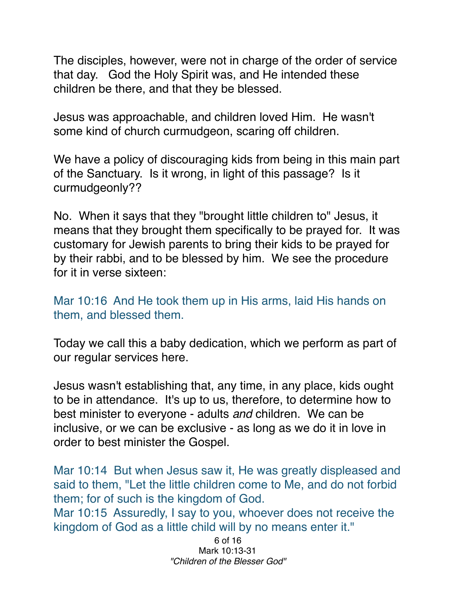The disciples, however, were not in charge of the order of service that day. God the Holy Spirit was, and He intended these children be there, and that they be blessed.

Jesus was approachable, and children loved Him. He wasn't some kind of church curmudgeon, scaring off children.

We have a policy of discouraging kids from being in this main part of the Sanctuary. Is it wrong, in light of this passage? Is it curmudgeonly??

No. When it says that they "brought little children to" Jesus, it means that they brought them specifically to be prayed for. It was customary for Jewish parents to bring their kids to be prayed for by their rabbi, and to be blessed by him. We see the procedure for it in verse sixteen:

Mar 10:16 And He took them up in His arms, laid His hands on them, and blessed them.

Today we call this a baby dedication, which we perform as part of our regular services here.

Jesus wasn't establishing that, any time, in any place, kids ought to be in attendance. It's up to us, therefore, to determine how to best minister to everyone - adults *and* children. We can be inclusive, or we can be exclusive - as long as we do it in love in order to best minister the Gospel.

Mar 10:14 But when Jesus saw it, He was greatly displeased and said to them, "Let the little children come to Me, and do not forbid them; for of such is the kingdom of God.

Mar 10:15 Assuredly, I say to you, whoever does not receive the kingdom of God as a little child will by no means enter it."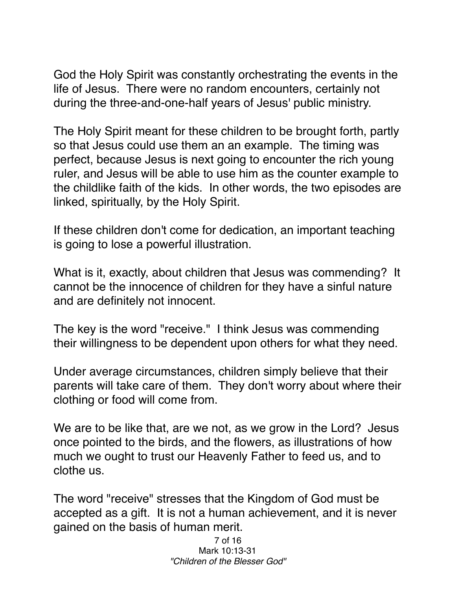God the Holy Spirit was constantly orchestrating the events in the life of Jesus. There were no random encounters, certainly not during the three-and-one-half years of Jesus' public ministry.

The Holy Spirit meant for these children to be brought forth, partly so that Jesus could use them an an example. The timing was perfect, because Jesus is next going to encounter the rich young ruler, and Jesus will be able to use him as the counter example to the childlike faith of the kids. In other words, the two episodes are linked, spiritually, by the Holy Spirit.

If these children don't come for dedication, an important teaching is going to lose a powerful illustration.

What is it, exactly, about children that Jesus was commending? It cannot be the innocence of children for they have a sinful nature and are definitely not innocent.

The key is the word "receive." I think Jesus was commending their willingness to be dependent upon others for what they need.

Under average circumstances, children simply believe that their parents will take care of them. They don't worry about where their clothing or food will come from.

We are to be like that, are we not, as we grow in the Lord? Jesus once pointed to the birds, and the flowers, as illustrations of how much we ought to trust our Heavenly Father to feed us, and to clothe us.

The word "receive" stresses that the Kingdom of God must be accepted as a gift. It is not a human achievement, and it is never gained on the basis of human merit.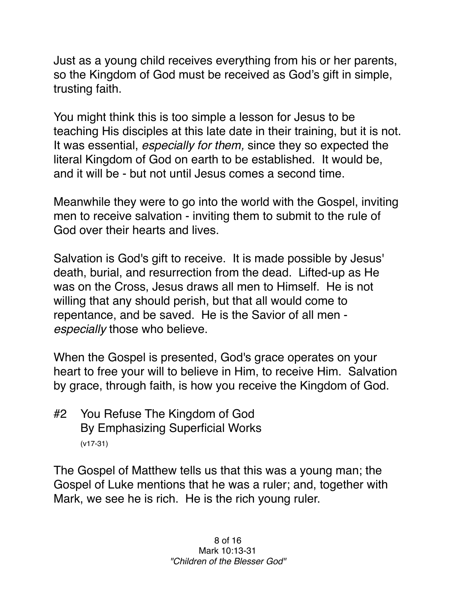Just as a young child receives everything from his or her parents, so the Kingdom of God must be received as God's gift in simple, trusting faith.

You might think this is too simple a lesson for Jesus to be teaching His disciples at this late date in their training, but it is not. It was essential, *especially for them,* since they so expected the literal Kingdom of God on earth to be established. It would be, and it will be - but not until Jesus comes a second time.

Meanwhile they were to go into the world with the Gospel, inviting men to receive salvation - inviting them to submit to the rule of God over their hearts and lives.

Salvation is God's gift to receive. It is made possible by Jesus' death, burial, and resurrection from the dead. Lifted-up as He was on the Cross, Jesus draws all men to Himself. He is not willing that any should perish, but that all would come to repentance, and be saved. He is the Savior of all men *especially* those who believe.

When the Gospel is presented, God's grace operates on your heart to free your will to believe in Him, to receive Him. Salvation by grace, through faith, is how you receive the Kingdom of God.

#2 You Refuse The Kingdom of God By Emphasizing Superficial Works (v17-31)

The Gospel of Matthew tells us that this was a young man; the Gospel of Luke mentions that he was a ruler; and, together with Mark, we see he is rich. He is the rich young ruler.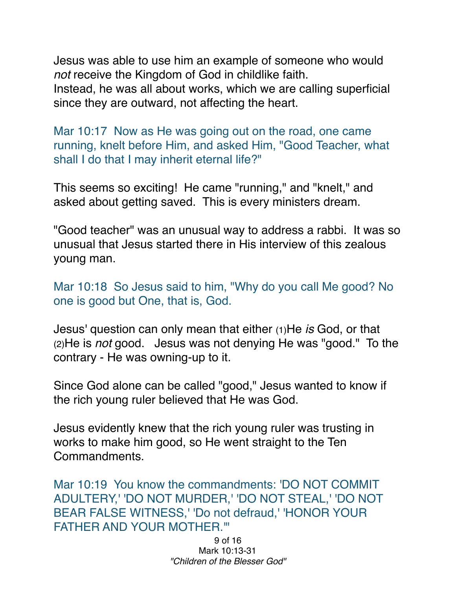Jesus was able to use him an example of someone who would *not* receive the Kingdom of God in childlike faith. Instead, he was all about works, which we are calling superficial since they are outward, not affecting the heart.

Mar 10:17 Now as He was going out on the road, one came running, knelt before Him, and asked Him, "Good Teacher, what shall I do that I may inherit eternal life?"

This seems so exciting! He came "running," and "knelt," and asked about getting saved. This is every ministers dream.

"Good teacher" was an unusual way to address a rabbi. It was so unusual that Jesus started there in His interview of this zealous young man.

Mar 10:18 So Jesus said to him, "Why do you call Me good? No one is good but One, that is, God.

Jesus' question can only mean that either (1)He *is* God, or that (2)He is *not* good. Jesus was not denying He was "good." To the contrary - He was owning-up to it.

Since God alone can be called "good," Jesus wanted to know if the rich young ruler believed that He was God.

Jesus evidently knew that the rich young ruler was trusting in works to make him good, so He went straight to the Ten Commandments.

Mar 10:19 You know the commandments: 'DO NOT COMMIT ADULTERY,' 'DO NOT MURDER,' 'DO NOT STEAL,' 'DO NOT BEAR FALSE WITNESS,' 'Do not defraud,' 'HONOR YOUR FATHER AND YOUR MOTHER.'"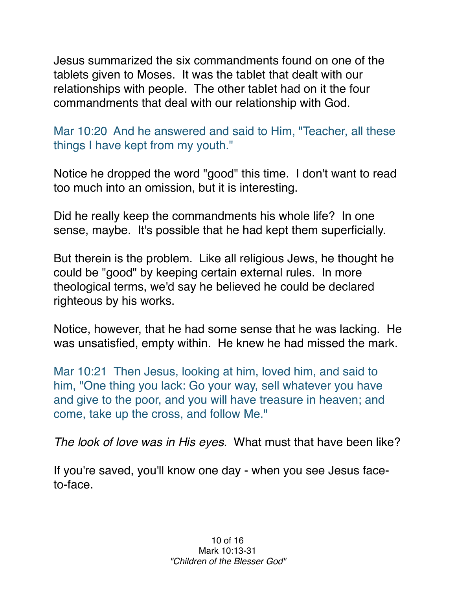Jesus summarized the six commandments found on one of the tablets given to Moses. It was the tablet that dealt with our relationships with people. The other tablet had on it the four commandments that deal with our relationship with God.

Mar 10:20 And he answered and said to Him, "Teacher, all these things I have kept from my youth."

Notice he dropped the word "good" this time. I don't want to read too much into an omission, but it is interesting.

Did he really keep the commandments his whole life? In one sense, maybe. It's possible that he had kept them superficially.

But therein is the problem. Like all religious Jews, he thought he could be "good" by keeping certain external rules. In more theological terms, we'd say he believed he could be declared righteous by his works.

Notice, however, that he had some sense that he was lacking. He was unsatisfied, empty within. He knew he had missed the mark.

Mar 10:21 Then Jesus, looking at him, loved him, and said to him, "One thing you lack: Go your way, sell whatever you have and give to the poor, and you will have treasure in heaven; and come, take up the cross, and follow Me."

*The look of love was in His eyes.* What must that have been like?

If you're saved, you'll know one day - when you see Jesus faceto-face.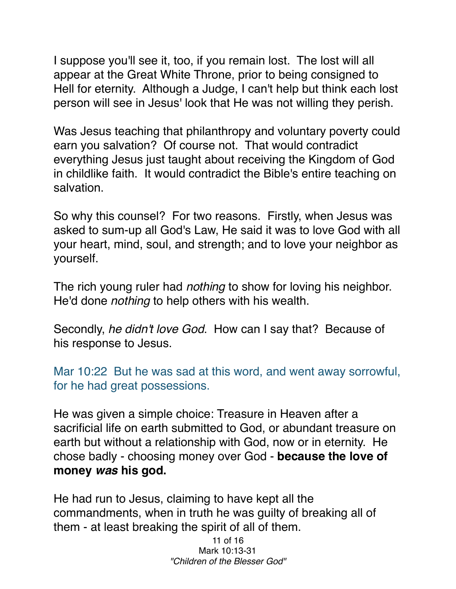I suppose you'll see it, too, if you remain lost. The lost will all appear at the Great White Throne, prior to being consigned to Hell for eternity. Although a Judge, I can't help but think each lost person will see in Jesus' look that He was not willing they perish.

Was Jesus teaching that philanthropy and voluntary poverty could earn you salvation? Of course not. That would contradict everything Jesus just taught about receiving the Kingdom of God in childlike faith. It would contradict the Bible's entire teaching on salvation.

So why this counsel? For two reasons. Firstly, when Jesus was asked to sum-up all God's Law, He said it was to love God with all your heart, mind, soul, and strength; and to love your neighbor as yourself.

The rich young ruler had *nothing* to show for loving his neighbor. He'd done *nothing* to help others with his wealth.

Secondly, *he didn't love God*. How can I say that? Because of his response to Jesus.

Mar 10:22 But he was sad at this word, and went away sorrowful, for he had great possessions.

He was given a simple choice: Treasure in Heaven after a sacrificial life on earth submitted to God, or abundant treasure on earth but without a relationship with God, now or in eternity. He chose badly - choosing money over God - **because the love of money** *was* **his god.**

He had run to Jesus, claiming to have kept all the commandments, when in truth he was guilty of breaking all of them - at least breaking the spirit of all of them.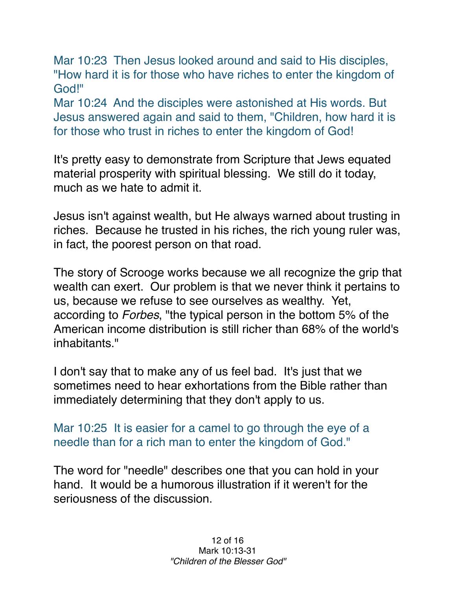Mar 10:23 Then Jesus looked around and said to His disciples, "How hard it is for those who have riches to enter the kingdom of God!"

Mar 10:24 And the disciples were astonished at His words. But Jesus answered again and said to them, "Children, how hard it is for those who trust in riches to enter the kingdom of God!

It's pretty easy to demonstrate from Scripture that Jews equated material prosperity with spiritual blessing. We still do it today, much as we hate to admit it.

Jesus isn't against wealth, but He always warned about trusting in riches. Because he trusted in his riches, the rich young ruler was, in fact, the poorest person on that road.

The story of Scrooge works because we all recognize the grip that wealth can exert. Our problem is that we never think it pertains to us, because we refuse to see ourselves as wealthy. Yet, according to *Forbes*, "the typical person in the bottom 5% of the American income distribution is still richer than 68% of the world's inhabitants."

I don't say that to make any of us feel bad. It's just that we sometimes need to hear exhortations from the Bible rather than immediately determining that they don't apply to us.

Mar 10:25 It is easier for a camel to go through the eye of a needle than for a rich man to enter the kingdom of God."

The word for "needle" describes one that you can hold in your hand. It would be a humorous illustration if it weren't for the seriousness of the discussion.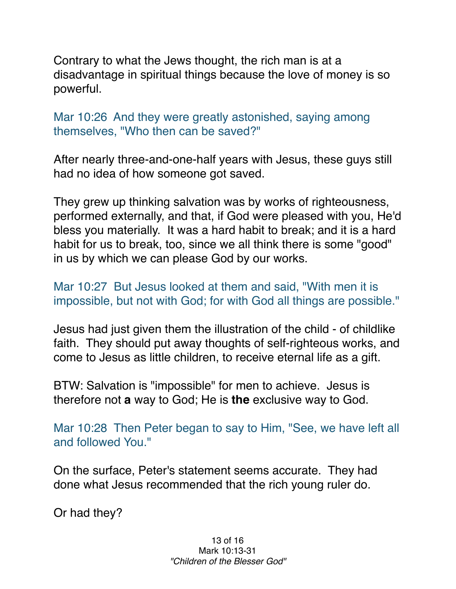Contrary to what the Jews thought, the rich man is at a disadvantage in spiritual things because the love of money is so powerful.

Mar 10:26 And they were greatly astonished, saying among themselves, "Who then can be saved?"

After nearly three-and-one-half years with Jesus, these guys still had no idea of how someone got saved.

They grew up thinking salvation was by works of righteousness, performed externally, and that, if God were pleased with you, He'd bless you materially. It was a hard habit to break; and it is a hard habit for us to break, too, since we all think there is some "good" in us by which we can please God by our works.

Mar 10:27 But Jesus looked at them and said, "With men it is impossible, but not with God; for with God all things are possible."

Jesus had just given them the illustration of the child - of childlike faith. They should put away thoughts of self-righteous works, and come to Jesus as little children, to receive eternal life as a gift.

BTW: Salvation is "impossible" for men to achieve. Jesus is therefore not **a** way to God; He is **the** exclusive way to God.

Mar 10:28 Then Peter began to say to Him, "See, we have left all and followed You."

On the surface, Peter's statement seems accurate. They had done what Jesus recommended that the rich young ruler do.

Or had they?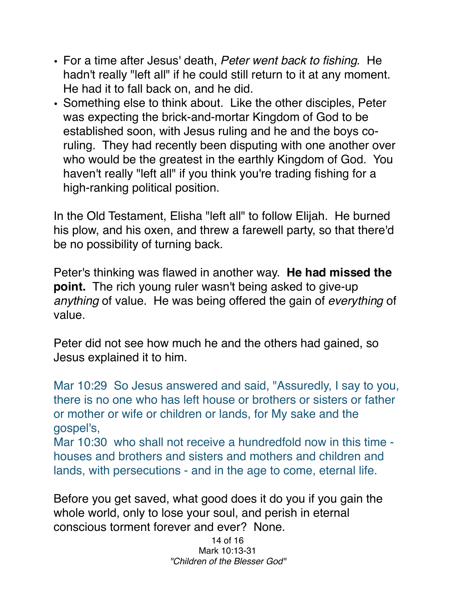- For a time after Jesus' death, *Peter went back to fishing.* He hadn't really "left all" if he could still return to it at any moment. He had it to fall back on, and he did.
- Something else to think about. Like the other disciples, Peter was expecting the brick-and-mortar Kingdom of God to be established soon, with Jesus ruling and he and the boys coruling. They had recently been disputing with one another over who would be the greatest in the earthly Kingdom of God. You haven't really "left all" if you think you're trading fishing for a high-ranking political position.

In the Old Testament, Elisha "left all" to follow Elijah. He burned his plow, and his oxen, and threw a farewell party, so that there'd be no possibility of turning back.

Peter's thinking was flawed in another way. **He had missed the point.** The rich young ruler wasn't being asked to give-up *anything* of value. He was being offered the gain of *everything* of value.

Peter did not see how much he and the others had gained, so Jesus explained it to him.

Mar 10:29 So Jesus answered and said, "Assuredly, I say to you, there is no one who has left house or brothers or sisters or father or mother or wife or children or lands, for My sake and the gospel's,

Mar 10:30 who shall not receive a hundredfold now in this time houses and brothers and sisters and mothers and children and lands, with persecutions - and in the age to come, eternal life.

Before you get saved, what good does it do you if you gain the whole world, only to lose your soul, and perish in eternal conscious torment forever and ever? None.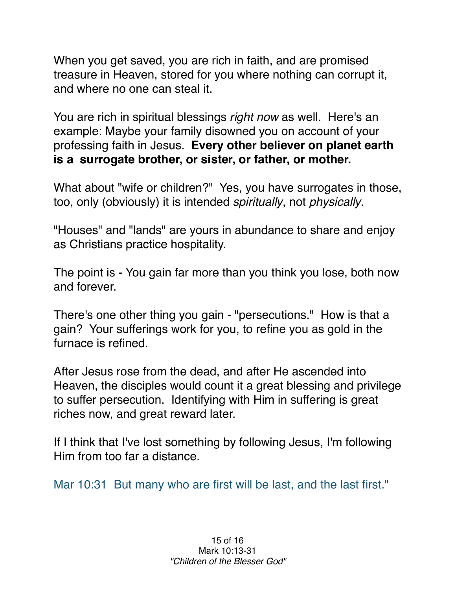When you get saved, you are rich in faith, and are promised treasure in Heaven, stored for you where nothing can corrupt it, and where no one can steal it.

You are rich in spiritual blessings *right now* as well. Here's an example: Maybe your family disowned you on account of your professing faith in Jesus. **Every other believer on planet earth is a surrogate brother, or sister, or father, or mother.** 

What about "wife or children?" Yes, you have surrogates in those, too, only (obviously) it is intended *spiritually*, not *physically*.

"Houses" and "lands" are yours in abundance to share and enjoy as Christians practice hospitality.

The point is - You gain far more than you think you lose, both now and forever.

There's one other thing you gain - "persecutions." How is that a gain? Your sufferings work for you, to refine you as gold in the furnace is refined.

After Jesus rose from the dead, and after He ascended into Heaven, the disciples would count it a great blessing and privilege to suffer persecution. Identifying with Him in suffering is great riches now, and great reward later.

If I think that I've lost something by following Jesus, I'm following Him from too far a distance.

Mar 10:31 But many who are first will be last, and the last first."